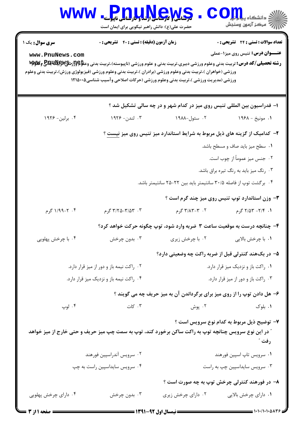| <b>WWW</b>                                                                                                                                                   | <b>PDULLEWS</b><br>حضرت علی(ع): دانش راهبر نیکویی برای ایمان است            |                                                                                                                                                                                                                                                                                                                           | $O_{\frac{1}{2}}$ دانشکاه پیا $_{\frac{1}{2}}$<br>رآب مرڪز آزمون وسنڊش |  |  |  |
|--------------------------------------------------------------------------------------------------------------------------------------------------------------|-----------------------------------------------------------------------------|---------------------------------------------------------------------------------------------------------------------------------------------------------------------------------------------------------------------------------------------------------------------------------------------------------------------------|------------------------------------------------------------------------|--|--|--|
| <b>سری سوال :</b> یک ۱                                                                                                                                       | زمان آزمون (دقیقه) : تستی : ۴۰٪ تشریحی : ۰                                  |                                                                                                                                                                                                                                                                                                                           | <b>تعداد سوالات : تستی : 24 ۔ تشریحی : 0</b>                           |  |  |  |
| www.PnuNews.com                                                                                                                                              |                                                                             |                                                                                                                                                                                                                                                                                                                           | <b>عنـــوان درس:</b> تنیس روی میز۱-عملی                                |  |  |  |
|                                                                                                                                                              |                                                                             | <b>رشته تحصیلی/کد درس:</b> تربیت بدنی وعلوم ورزشی دبیری،تربیت بدنی و علوم ورزشی (ناپیوسته)،تربیت بدنی وعلا؟[3رشحع بهیکایا<br>ورزشی (خواهران )،تربیت بدنی وعلوم ورزشی (برادران )،تربیت بدنی وعلوم ورزشی (فیزیولوژی ورزش)،تربیت بدنی وعلوم<br>ورزشی (مدیریت ورزشی )،تربیت بدنی وعلوم ورزشی (حرکات اصلاحی وآسیب شناسی۱۲۱۵۰۰۵ |                                                                        |  |  |  |
|                                                                                                                                                              |                                                                             | ۱– فدراسیون بین المللی تنیس روی میز در کدام شهر و در چه سالی تشکیل شد ؟                                                                                                                                                                                                                                                   |                                                                        |  |  |  |
| ۰۴ برلین- ۱۹۲۶                                                                                                                                               | ۴. لندن- ۱۹۲۶                                                               | ۰۲ سئول-۱۹۸۸                                                                                                                                                                                                                                                                                                              | ۰۱ مونيخ - ۱۹۶۸                                                        |  |  |  |
|                                                                                                                                                              | ۲- کدامیک از گزینه های ذیل مربوط به شرایط استاندارد میز تنیس روی میز نیست ؟ |                                                                                                                                                                                                                                                                                                                           |                                                                        |  |  |  |
|                                                                                                                                                              |                                                                             |                                                                                                                                                                                                                                                                                                                           | ۰۱ سطح میز باید صاف و مسطح باشد.                                       |  |  |  |
|                                                                                                                                                              |                                                                             |                                                                                                                                                                                                                                                                                                                           | ۲. جنس میز عموماً از چوب است.                                          |  |  |  |
|                                                                                                                                                              |                                                                             |                                                                                                                                                                                                                                                                                                                           | ۰۳ رنگ میز باید به رنگ تیره براق باشد.                                 |  |  |  |
|                                                                                                                                                              |                                                                             | ۰۴ برگشت توپ از فاصله ۳۰/۵ سانتیمتر باید بین ۲۲–۲۵ سانتیمتر باشد.                                                                                                                                                                                                                                                         |                                                                        |  |  |  |
|                                                                                                                                                              |                                                                             |                                                                                                                                                                                                                                                                                                                           | ۰۳ وزن استاندارد توپ تنیس روی میز چند گرم است ؟                        |  |  |  |
| ۰۴ - ۱/۹۹–۱/۹                                                                                                                                                | ۳. ۳/۲۵-۳/۵۳ گرم                                                            | ۲. ۳–۳/۸۳ گرم                                                                                                                                                                                                                                                                                                             | ۰۱. ۲/۴– ۲/۵۳ گرم                                                      |  |  |  |
| ۴- چنانچه درست به موقعیت ساعت ۳ ضربه وارد شود، توپ چگونه حرکت خواهد کرد؟                                                                                     |                                                                             |                                                                                                                                                                                                                                                                                                                           |                                                                        |  |  |  |
| ۰۴ با چرخش پهلويي                                                                                                                                            |                                                                             | ۰۱ با چرخش بالایی سیسته ۲۰ با چرخش زیری سیست ۲۰ بدون چرخش                                                                                                                                                                                                                                                                 |                                                                        |  |  |  |
|                                                                                                                                                              |                                                                             | ۵– در بک هند کنترلی قبل از ضربه راکت چه وضعیتی دارد؟                                                                                                                                                                                                                                                                      |                                                                        |  |  |  |
|                                                                                                                                                              | ۰۲ راکت نیمه باز و دور از میز قرار دارد.                                    |                                                                                                                                                                                                                                                                                                                           | ۰۱ راکت باز و نزدیک میز قرار دارد.                                     |  |  |  |
| ۰۴ راکت نیمه باز و نزدیک میز قرار دارد.                                                                                                                      |                                                                             |                                                                                                                                                                                                                                                                                                                           | ۰۳ راکت باز و دور از میز قرار دارد.                                    |  |  |  |
|                                                                                                                                                              |                                                                             | ۶– هل دادن توپ را از روی میز برای برگرداندن آن به میز حریف چه می گویند ؟                                                                                                                                                                                                                                                  |                                                                        |  |  |  |
| ۰۴ لوپ                                                                                                                                                       | ۰۳ کات                                                                      | ۰۲ پوش                                                                                                                                                                                                                                                                                                                    | ۰۱ بلوک                                                                |  |  |  |
| ۷– توضیح ذیل مربوط به کدام نوع سرویس است ؟<br>″ در این نوع سرویس چنانچه توپ به راکت ساکن برخورد کند، توپ به سمت چپ میز حریف و حتی خارج از میز خواهد<br>رفت " |                                                                             |                                                                                                                                                                                                                                                                                                                           |                                                                        |  |  |  |
|                                                                                                                                                              | ۰۲ سرویس آندراسپین فورهند                                                   |                                                                                                                                                                                                                                                                                                                           | ۰۱ سرویس تاپ اسپین فورهند                                              |  |  |  |
|                                                                                                                                                              | ۰۴ سرویس سایداسپین راست به چپ                                               |                                                                                                                                                                                                                                                                                                                           | ۰۳ سرویس سایداسپین چپ به راست                                          |  |  |  |
|                                                                                                                                                              |                                                                             |                                                                                                                                                                                                                                                                                                                           | ۸– در فورهند کنترلی چرخش توپ به چه صورت است ؟                          |  |  |  |
| ۰۴ دارای چرخش پهلویی                                                                                                                                         | ۰۳ بدون چرخش                                                                | ۰۲ دارای چرخش زیری                                                                                                                                                                                                                                                                                                        | ۰۱ دارای چرخش بالایی                                                   |  |  |  |

 $= 1.1 - 11.1 - 0175$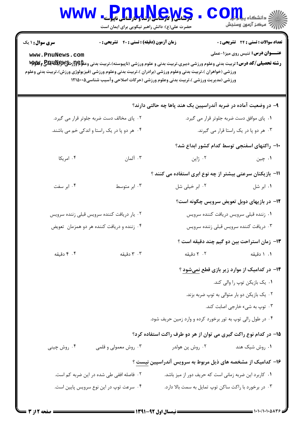| W W W                                                            | <mark>کر شاسی و کرستاسی ارسل و دارشاس</mark> ی ناپیوسته<br>حضرت علی(ع): دانش راهبر نیکویی برای ایمان است |                                                                                                                                                                                                                                                                                                                                                                                                                                       | : دانشگاه پ <b>یا با تو</b><br>رِ آھرڪز آزمون وسنڊش                                   |  |
|------------------------------------------------------------------|----------------------------------------------------------------------------------------------------------|---------------------------------------------------------------------------------------------------------------------------------------------------------------------------------------------------------------------------------------------------------------------------------------------------------------------------------------------------------------------------------------------------------------------------------------|---------------------------------------------------------------------------------------|--|
| <b>سری سوال : ۱ یک</b><br>www.PnuNews.com                        | زمان آزمون (دقیقه) : تستی : ۴۰٪ تشریحی : ۰                                                               | <b>رشته تحصیلی/کد درس:</b> تربیت بدنی وعلوم ورزشی دبیری،تربیت بدنی و علوم ورزشی (ناپیوسته)،تربیت بدنی وعلاهالآباد باشی و پایان باشی و پایان<br>موسیقه تحصیلی/کد درس: تربیت بدنی وعلوم ورزشی دبیری،تربیت بدنی و علوم ورزشی (ناپیوسته)،<br>ورزشی (خواهران )،تربیت بدنی وعلوم ورزشی (برادران )،تربیت بدنی وعلوم ورزشی (فیزیولوژی ورزش)،تربیت بدنی وعلوم<br>ورزشی (مدیریت ورزشی )،تربیت بدنی وعلوم ورزشی (حرکات اصلاحی وآسیب شناسی۱۲۱۵۰۰۵ | <b>تعداد سوالات : تستی : 24 گشریحی : 0</b><br><b>عنـــوان درس:</b> تنیس روی میز۱-عملی |  |
|                                                                  |                                                                                                          | ۹– در وضعیت آماده در ضربه آندراسپین بک هند پاها چه حالتی دارند؟                                                                                                                                                                                                                                                                                                                                                                       |                                                                                       |  |
|                                                                  | ۲. پای مخالف دست ضربه جلوتر قرار می گیرد.                                                                |                                                                                                                                                                                                                                                                                                                                                                                                                                       | ۰۱ پای موافق دست ضربه جلوتر قرار می گیرد.                                             |  |
|                                                                  | ۰۴ هر دو پا در یک راستا و اندکی خم می باشند.                                                             |                                                                                                                                                                                                                                                                                                                                                                                                                                       | ۰۳ هر دو پا در یک راستا قرار می گیرند.                                                |  |
|                                                                  |                                                                                                          |                                                                                                                                                                                                                                                                                                                                                                                                                                       | ۱۰– راکتهای اسفنجی توسط کدام کشور ابداع شد؟                                           |  |
| ۰۴ امریکا                                                        | ۰۳ آلمان                                                                                                 | ۰۲ ژاپن                                                                                                                                                                                                                                                                                                                                                                                                                               | ۰۱ چين                                                                                |  |
|                                                                  |                                                                                                          | 1۱– بازیکنان سرعتی بیشتر از چه نوع ابری استفاده می کنند ؟                                                                                                                                                                                                                                                                                                                                                                             |                                                                                       |  |
| ۰۴ ابر سفت                                                       | ۰۳ ابر متوسط                                                                                             | ۰۲ ابر خیلی شل                                                                                                                                                                                                                                                                                                                                                                                                                        | ۰۱ ابر شل                                                                             |  |
|                                                                  |                                                                                                          |                                                                                                                                                                                                                                                                                                                                                                                                                                       | ۱۲– در بازیهای دوبل تعویض سرویس چگونه است؟                                            |  |
| ۰۲ یار دریافت کننده سرویس قبلی زننده سرویس                       |                                                                                                          |                                                                                                                                                                                                                                                                                                                                                                                                                                       | ۰۱ زننده قبلی سرویس دریافت کننده سرویس                                                |  |
| ۰۴ زننده و دریافت کننده هر دو همزمان تعویض                       |                                                                                                          | ۰۳ دریافت کننده سرویس قبلی زننده سرویس                                                                                                                                                                                                                                                                                                                                                                                                |                                                                                       |  |
|                                                                  |                                                                                                          |                                                                                                                                                                                                                                                                                                                                                                                                                                       | ۱۳- زمان استراحت بین دو گیم چند دقیقه است ؟                                           |  |
| ۰۴ دقیقه                                                         | ۰۳ دقیقه                                                                                                 | ۰۲ دقیقه                                                                                                                                                                                                                                                                                                                                                                                                                              | ۰۱ دقیقه                                                                              |  |
|                                                                  |                                                                                                          |                                                                                                                                                                                                                                                                                                                                                                                                                                       | <b>۱۴</b> - در کدامیک از موارد زیر بازی قطع <u>نمی</u> شود ؟                          |  |
|                                                                  |                                                                                                          |                                                                                                                                                                                                                                                                                                                                                                                                                                       | ۰۱ یک بازیکن توپ را والی کند.                                                         |  |
| ۰۲ یک بازیکن دو بار متوالی به توپ ضربه بزند.                     |                                                                                                          |                                                                                                                                                                                                                                                                                                                                                                                                                                       |                                                                                       |  |
|                                                                  |                                                                                                          |                                                                                                                                                                                                                                                                                                                                                                                                                                       | ۰۳ توپ به شیء خارجی اصابت کند.                                                        |  |
|                                                                  |                                                                                                          | ۰۴ در طول رالی توپ به تور برخورد کرده و وارد زمین حریف شود.                                                                                                                                                                                                                                                                                                                                                                           |                                                                                       |  |
| ۱۵– در کدام نوع راکت گیری می توان از هر دو طرف راکت استفاده کرد؟ |                                                                                                          |                                                                                                                                                                                                                                                                                                                                                                                                                                       |                                                                                       |  |
| ۰۴ روش چینی                                                      | ۰۳ روش معمولی و قلمی                                                                                     | ۰۲ روش پن هولدر                                                                                                                                                                                                                                                                                                                                                                                                                       | ۰۱ روش شیک هند                                                                        |  |
| ۱۶– کدامیک از مشخصه های ذیل مربوط به سرویس آندراسپین نیست ؟      |                                                                                                          |                                                                                                                                                                                                                                                                                                                                                                                                                                       |                                                                                       |  |
|                                                                  | ٠١ كاربرد اين ضربه زماني است كه حريف دور از ميز باشد.<br>۰۲ فاصله افقی طی شده در این ضربه کم است.        |                                                                                                                                                                                                                                                                                                                                                                                                                                       |                                                                                       |  |
|                                                                  | ۰۴ سرعت توپ در این نوع سرویس پایین است.                                                                  | ۰۳ در برخورد با راکت ساکن توپ تمایل به سمت بالا دارد.                                                                                                                                                                                                                                                                                                                                                                                 |                                                                                       |  |